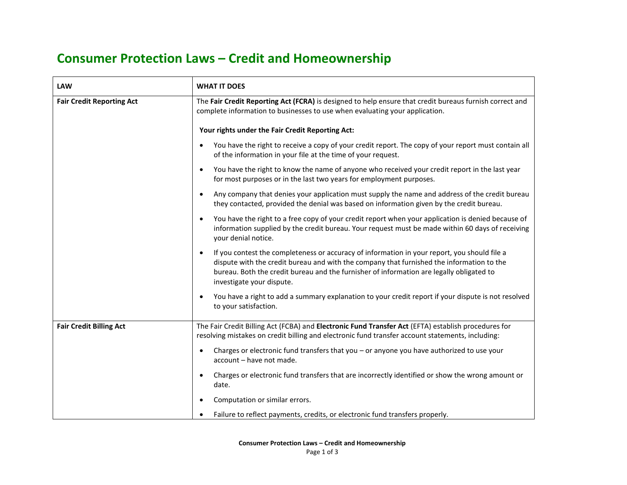## **Consumer Protection Laws – Credit and Homeownership**

| <b>LAW</b>                       | <b>WHAT IT DOES</b>                                                                                                                                                                                                                                                                                                |
|----------------------------------|--------------------------------------------------------------------------------------------------------------------------------------------------------------------------------------------------------------------------------------------------------------------------------------------------------------------|
| <b>Fair Credit Reporting Act</b> | The Fair Credit Reporting Act (FCRA) is designed to help ensure that credit bureaus furnish correct and<br>complete information to businesses to use when evaluating your application.                                                                                                                             |
|                                  | Your rights under the Fair Credit Reporting Act:                                                                                                                                                                                                                                                                   |
|                                  | You have the right to receive a copy of your credit report. The copy of your report must contain all<br>$\bullet$<br>of the information in your file at the time of your request.                                                                                                                                  |
|                                  | You have the right to know the name of anyone who received your credit report in the last year<br>for most purposes or in the last two years for employment purposes.                                                                                                                                              |
|                                  | Any company that denies your application must supply the name and address of the credit bureau<br>they contacted, provided the denial was based on information given by the credit bureau.                                                                                                                         |
|                                  | You have the right to a free copy of your credit report when your application is denied because of<br>information supplied by the credit bureau. Your request must be made within 60 days of receiving<br>your denial notice.                                                                                      |
|                                  | If you contest the completeness or accuracy of information in your report, you should file a<br>dispute with the credit bureau and with the company that furnished the information to the<br>bureau. Both the credit bureau and the furnisher of information are legally obligated to<br>investigate your dispute. |
|                                  | You have a right to add a summary explanation to your credit report if your dispute is not resolved<br>to your satisfaction.                                                                                                                                                                                       |
| <b>Fair Credit Billing Act</b>   | The Fair Credit Billing Act (FCBA) and Electronic Fund Transfer Act (EFTA) establish procedures for<br>resolving mistakes on credit billing and electronic fund transfer account statements, including:                                                                                                            |
|                                  | Charges or electronic fund transfers that you - or anyone you have authorized to use your<br>account - have not made.                                                                                                                                                                                              |
|                                  | Charges or electronic fund transfers that are incorrectly identified or show the wrong amount or<br>date.                                                                                                                                                                                                          |
|                                  | Computation or similar errors.                                                                                                                                                                                                                                                                                     |
|                                  | Failure to reflect payments, credits, or electronic fund transfers properly.                                                                                                                                                                                                                                       |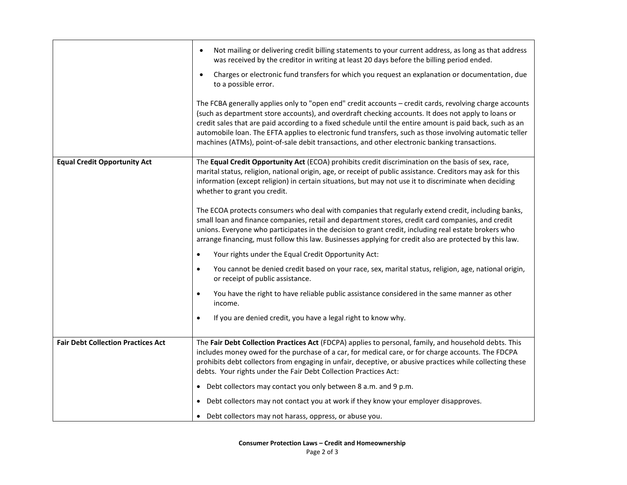|                                           | Not mailing or delivering credit billing statements to your current address, as long as that address<br>was received by the creditor in writing at least 20 days before the billing period ended.<br>Charges or electronic fund transfers for which you request an explanation or documentation, due<br>to a possible error.<br>The FCBA generally applies only to "open end" credit accounts - credit cards, revolving charge accounts<br>(such as department store accounts), and overdraft checking accounts. It does not apply to loans or<br>credit sales that are paid according to a fixed schedule until the entire amount is paid back, such as an<br>automobile loan. The EFTA applies to electronic fund transfers, such as those involving automatic teller<br>machines (ATMs), point-of-sale debit transactions, and other electronic banking transactions.                                                                                                                                                                                                                                                                                                                                                    |
|-------------------------------------------|-----------------------------------------------------------------------------------------------------------------------------------------------------------------------------------------------------------------------------------------------------------------------------------------------------------------------------------------------------------------------------------------------------------------------------------------------------------------------------------------------------------------------------------------------------------------------------------------------------------------------------------------------------------------------------------------------------------------------------------------------------------------------------------------------------------------------------------------------------------------------------------------------------------------------------------------------------------------------------------------------------------------------------------------------------------------------------------------------------------------------------------------------------------------------------------------------------------------------------|
| <b>Equal Credit Opportunity Act</b>       | The Equal Credit Opportunity Act (ECOA) prohibits credit discrimination on the basis of sex, race,<br>marital status, religion, national origin, age, or receipt of public assistance. Creditors may ask for this<br>information (except religion) in certain situations, but may not use it to discriminate when deciding<br>whether to grant you credit.<br>The ECOA protects consumers who deal with companies that regularly extend credit, including banks,<br>small loan and finance companies, retail and department stores, credit card companies, and credit<br>unions. Everyone who participates in the decision to grant credit, including real estate brokers who<br>arrange financing, must follow this law. Businesses applying for credit also are protected by this law.<br>Your rights under the Equal Credit Opportunity Act:<br>$\bullet$<br>You cannot be denied credit based on your race, sex, marital status, religion, age, national origin,<br>$\bullet$<br>or receipt of public assistance.<br>You have the right to have reliable public assistance considered in the same manner as other<br>$\bullet$<br>income.<br>If you are denied credit, you have a legal right to know why.<br>$\bullet$ |
| <b>Fair Debt Collection Practices Act</b> | The Fair Debt Collection Practices Act (FDCPA) applies to personal, family, and household debts. This<br>includes money owed for the purchase of a car, for medical care, or for charge accounts. The FDCPA<br>prohibits debt collectors from engaging in unfair, deceptive, or abusive practices while collecting these<br>debts. Your rights under the Fair Debt Collection Practices Act:<br>• Debt collectors may contact you only between 8 a.m. and 9 p.m.<br>Debt collectors may not contact you at work if they know your employer disapproves.<br>• Debt collectors may not harass, oppress, or abuse you.                                                                                                                                                                                                                                                                                                                                                                                                                                                                                                                                                                                                         |